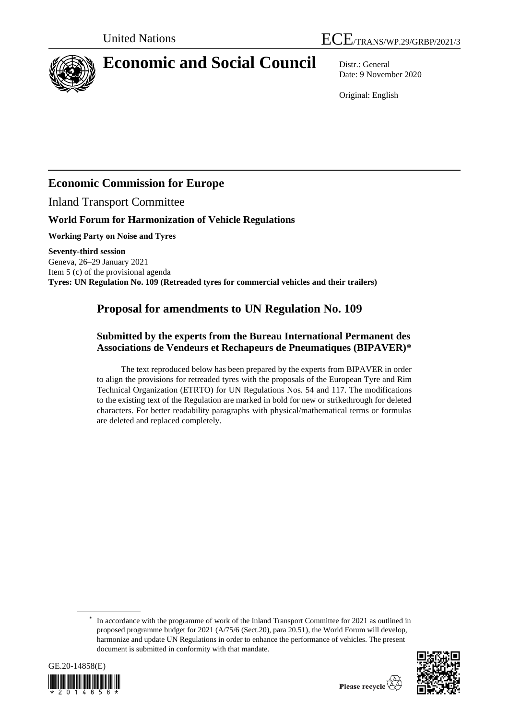

# **Economic and Social Council** Distr.: General

Date: 9 November 2020

Original: English

### **Economic Commission for Europe**

Inland Transport Committee

### **World Forum for Harmonization of Vehicle Regulations**

**Working Party on Noise and Tyres**

**Seventy-third session**  Geneva, 26–29 January 2021 Item 5 (c) of the provisional agenda **Tyres: UN Regulation No. 109 (Retreaded tyres for commercial vehicles and their trailers)**

## **Proposal for amendments to UN Regulation No. 109**

#### **Submitted by the experts from the Bureau International Permanent des Associations de Vendeurs et Rechapeurs de Pneumatiques (BIPAVER)\***

The text reproduced below has been prepared by the experts from BIPAVER in order to align the provisions for retreaded tyres with the proposals of the European Tyre and Rim Technical Organization (ETRTO) for UN Regulations Nos. 54 and 117. The modifications to the existing text of the Regulation are marked in bold for new or strikethrough for deleted characters. For better readability paragraphs with physical/mathematical terms or formulas are deleted and replaced completely.

<sup>\*</sup> In accordance with the programme of work of the Inland Transport Committee for 2021 as outlined in proposed programme budget for 2021 (A/75/6 (Sect.20), para 20.51), the World Forum will develop, harmonize and update UN Regulations in order to enhance the performance of vehicles. The present document is submitted in conformity with that mandate.



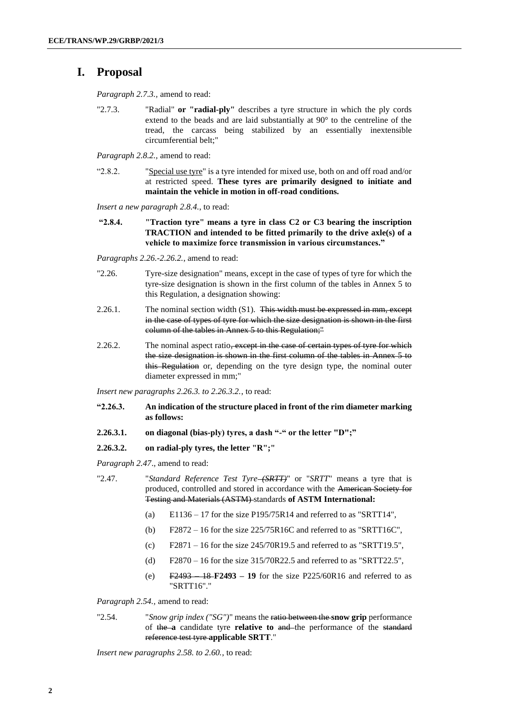#### **I. Proposal**

*Paragraph 2.7.3.,* amend to read:

"2.7.3. "Radial" **or "radial-ply"** describes a tyre structure in which the ply cords extend to the beads and are laid substantially at 90° to the centreline of the tread, the carcass being stabilized by an essentially inextensible circumferential belt;"

*Paragraph 2.8.2.,* amend to read:

"2.8.2. "Special use tyre" is a tyre intended for mixed use, both on and off road and/or at restricted speed. **These tyres are primarily designed to initiate and maintain the vehicle in motion in off-road conditions.**

*Insert a new paragraph 2.8.4.*, to read:

**"2.8.4. "Traction tyre" means a tyre in class C2 or C3 bearing the inscription TRACTION and intended to be fitted primarily to the drive axle(s) of a vehicle to maximize force transmission in various circumstances."**

*Paragraphs 2.26.-2.26.2.*, amend to read:

- "2.26. Tyre-size designation" means, except in the case of types of tyre for which the tyre-size designation is shown in the first column of the tables in Annex 5 to this Regulation, a designation showing:
- 2.26.1. The nominal section width (S1). This width must be expressed in mm, except in the case of types of tyre for which the size designation is shown in the first column of the tables in Annex 5 to this Regulation;"
- 2.26.2. The nominal aspect ratio<del>, except in the case of certain types of tyre for which</del> the size designation is shown in the first column of the tables in Annex 5 to this Regulation or, depending on the tyre design type, the nominal outer diameter expressed in mm;"

*Insert new paragraphs 2.26.3. to 2.26.3.2.*, to read:

- **"2.26.3. An indication of the structure placed in front of the rim diameter marking as follows:**
- **2.26.3.1. on diagonal (bias-ply) tyres, a dash "-" or the letter "D";"**
- **2.26.3.2. on radial-ply tyres, the letter "R";"**

*Paragraph 2.47*., amend to read:

- "2.47. "*Standard Reference Test Tyre (SRTT)*" or "*SRTT*" means a tyre that is produced, controlled and stored in accordance with the American Society for Testing and Materials (ASTM) standards **of ASTM International:**
	- (a) E1136 17 for the size P195/75R14 and referred to as "SRTT14",
	- (b)  $F2872 16$  for the size  $225/75R16C$  and referred to as "SRTT16C".
	- (c)  $F2871 16$  for the size 245/70R19.5 and referred to as "SRTT19.5",
	- (d)  $F2870 16$  for the size 315/70R22.5 and referred to as "SRTT22.5",
	- (e) F2493 18 **F2493 – 19** for the size P225/60R16 and referred to as "SRTT16"."

*Paragraph 2.54.,* amend to read:

"2.54. "*Snow grip index ("SG")*" means the ratio between the **snow grip** performance of the **a** candidate tyre **relative to** and the performance of the standard reference test tyre **applicable SRTT**."

*Insert new paragraphs 2.58. to 2.60.*, to read: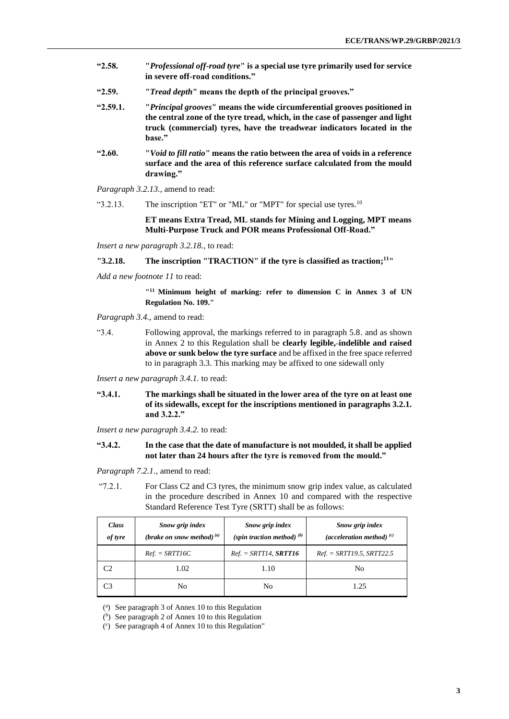- **"2.58. "***Professional off-road tyre***" is a special use tyre primarily used for service in severe off-road conditions."**
- **"2.59. "***Tread depth***" means the depth of the principal grooves."**
- **"2.59.1. "***Principal grooves***" means the wide circumferential grooves positioned in the central zone of the tyre tread, which, in the case of passenger and light truck (commercial) tyres, have the treadwear indicators located in the base."**
- **"2.60. "***Void to fill ratio***" means the ratio between the area of voids in a reference surface and the area of this reference surface calculated from the mould drawing."**
- *Paragraph 3.2.13.,* amend to read:
- "3.2.13. The inscription "ET" or "ML" or "MPT" for special use tyres.<sup>10</sup>

**ET means Extra Tread, ML stands for Mining and Logging, MPT means Multi-Purpose Truck and POR means Professional Off-Road."**

*Insert a new paragraph 3.2.18.*, to read:

**"3.2.18. The inscription "TRACTION" if the tyre is classified as traction; <sup>11</sup>"**

*Add a new footnote 11* to read:

<sup>111</sup> Minimum height of marking: refer to dimension C in Annex 3 of UN **Regulation No. 109."**

*Paragraph 3.4.,* amend to read:

"3.4. Following approval, the markings referred to in paragraph 5.8. and as shown in Annex 2 to this Regulation shall be **clearly legible, indelible and raised above or sunk below the tyre surface** and be affixed in the free space referred to in paragraph 3.3. This marking may be affixed to one sidewall only

*Insert a new paragraph 3.4.1.* to read:

**"3.4.1. The markings shall be situated in the lower area of the tyre on at least one of its sidewalls, except for the inscriptions mentioned in paragraphs 3.2.1. and 3.2.2."**

*Insert a new paragraph 3.4.2.* to read:

**"3.4.2. In the case that the date of manufacture is not moulded, it shall be applied not later than 24 hours after the tyre is removed from the mould."**

*Paragraph 7.2.1.,* amend to read:

"7.2.1. For Class C2 and C3 tyres, the minimum snow grip index value, as calculated in the procedure described in Annex 10 and compared with the respective Standard Reference Test Tyre (SRTT) shall be as follows:

| <b>Class</b><br>of tyre | Snow grip index<br>(brake on snow method) $^{(a)}$ | Snow grip index<br>(spin traction method) $(b)$ | Snow grip index<br>(acceleration method) $^{(c)}$ |  |
|-------------------------|----------------------------------------------------|-------------------------------------------------|---------------------------------------------------|--|
|                         | $Ref. = SRTT16C$                                   | $Ref. = SRTT14, SRTT16$                         | $Ref. = SRTT19.5, SRTT22.5$                       |  |
| C2                      | 1.02                                               | 1.10                                            | No                                                |  |
| C3                      | No                                                 | No                                              | 1.25                                              |  |

( a ) See paragraph 3 of Annex 10 to this Regulation

( b ) See paragraph 2 of Annex 10 to this Regulation

( c ) See paragraph 4 of Annex 10 to this Regulation"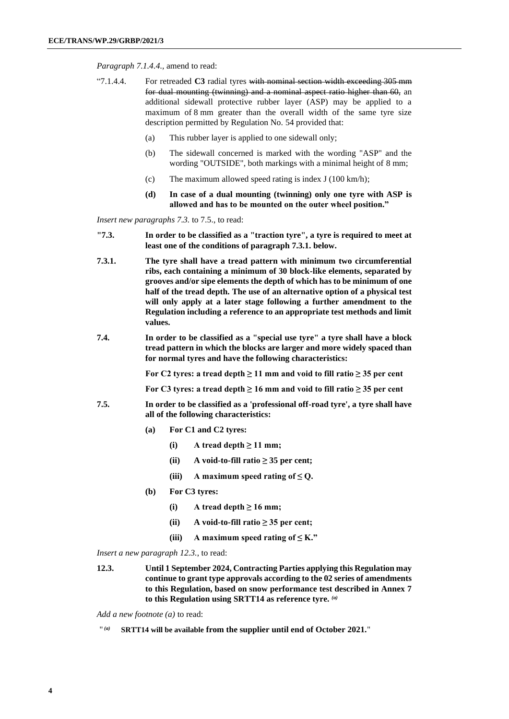*Paragraph 7.1.4.4.,* amend to read:

- "7.1.4.4. For retreaded **C3** radial tyres with nominal section width exceeding 305 mm for dual mounting (twinning) and a nominal aspect ratio higher than 60, an additional sidewall protective rubber layer (ASP) may be applied to a maximum of 8 mm greater than the overall width of the same tyre size description permitted by Regulation No. 54 provided that:
	- (a) This rubber layer is applied to one sidewall only;
	- (b) The sidewall concerned is marked with the wording "ASP" and the wording "OUTSIDE", both markings with a minimal height of 8 mm;
	- (c) The maximum allowed speed rating is index J (100 km/h);
	- **(d) In case of a dual mounting (twinning) only one tyre with ASP is allowed and has to be mounted on the outer wheel position."**

*Insert new paragraphs 7.3.* to 7.5., to read:

- **"7.3. In order to be classified as a "traction tyre", a tyre is required to meet at least one of the conditions of paragraph 7.3.1. below.**
- **7.3.1. The tyre shall have a tread pattern with minimum two circumferential ribs, each containing a minimum of 30 block-like elements, separated by grooves and/or sipe elements the depth of which has to be minimum of one half of the tread depth. The use of an alternative option of a physical test will only apply at a later stage following a further amendment to the Regulation including a reference to an appropriate test methods and limit values.**
- **7.4. In order to be classified as a "special use tyre" a tyre shall have a block tread pattern in which the blocks are larger and more widely spaced than for normal tyres and have the following characteristics:**

**For C2 tyres: a tread depth ≥ 11 mm and void to fill ratio ≥ 35 per cent**

For C3 tyres: a tread depth  $\geq 16$  mm and void to fill ratio  $\geq 35$  per cent

- **7.5. In order to be classified as a 'professional off-road tyre', a tyre shall have all of the following characteristics:**
	- **(a) For C1 and C2 tyres:**
		- $(i)$  **A** tread depth  $\geq 11$  mm;
		- $(iii)$  **A** void-to-fill ratio  $\geq$  35 per cent;
		- (iii) **A** maximum speed rating of  $\leq Q$ .
	- **(b) For C3 tyres:**
		- $(i)$  **A** tread depth  $\geq 16$  mm;
		- (ii) **A** void-to-fill ratio  $\geq$  35 per cent;
		- (iii) **A** maximum speed rating of  $\leq$  K."

*Insert a new paragraph 12.3.*, to read:

**12.3. Until 1 September 2024, Contracting Parties applying this Regulation may continue to grant type approvals according to the 02 series of amendments to this Regulation, based on snow performance test described in Annex 7 to this Regulation using SRTT14 as reference tyre.** *(a)*

*Add a new footnote (a)* to read:

 $''(a)$ *(a)* **SRTT14 will be available from the supplier until end of October 2021.**"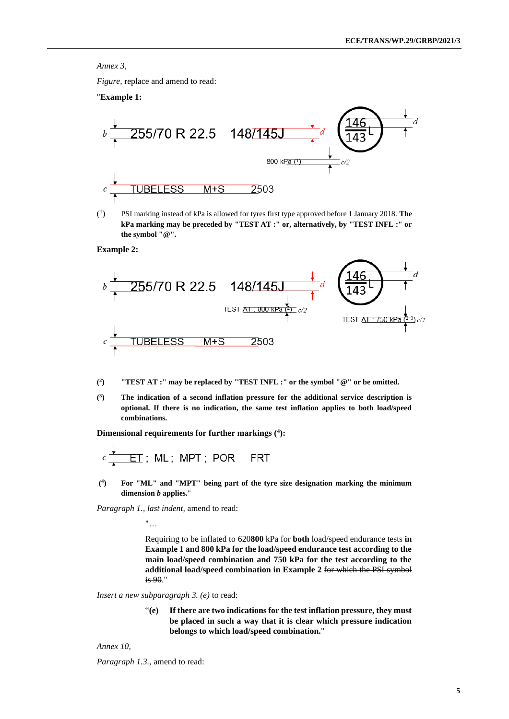#### *Annex 3,*

*Figure,* replace and amend to read:

"**Example 1:**



 $(^1$ ) PSI marking instead of kPa is allowed for tyres first type approved before 1 January 2018. **The kPa marking may be preceded by "TEST AT :" or, alternatively, by "TEST INFL :" or the symbol "@".**

**Example 2:**



- **( 2 ) "TEST AT :" may be replaced by "TEST INFL :" or the symbol "@" or be omitted.**
- **( 3 ) The indication of a second inflation pressure for the additional service description is optional. If there is no indication, the same test inflation applies to both load/speed combinations.**

**Dimensional requirements for further markings (<sup>4</sup> ):**

$$
c \overset{\textcolor{red}{\blacklozenge}}{\underset{\textcolor{blue}{\uparrow}}} \underline{\textcolor{red}{\text{ET}}}\;;\;\textcolor{blue}{\textsf{ML}}\;;\;\textcolor{blue}{\textsf{MPT}}\;;\;\textcolor{blue}{\textsf{POR}}\;\;\textcolor{red}{\textsf{FRT}}
$$

 $($ <sup>4</sup> **) For "ML" and "MPT" being part of the tyre size designation marking the minimum dimension** *b* **applies.**"

*Paragraph 1., last indent,* amend to read:

"…

Requiring to be inflated to 620**800** kPa for **both** load/speed endurance tests **in Example 1 and 800 kPa for the load/speed endurance test according to the main load/speed combination and 750 kPa for the test according to the additional load/speed combination in Example 2** for which the PSI symbol is 90."

*Insert a new subparagraph 3. (e)* to read:

"**(e) If there are two indications for the test inflation pressure, they must be placed in such a way that it is clear which pressure indication belongs to which load/speed combination.**"

*Annex 10,* 

 $\overline{1}$ 

*Paragraph 1.3.*, amend to read: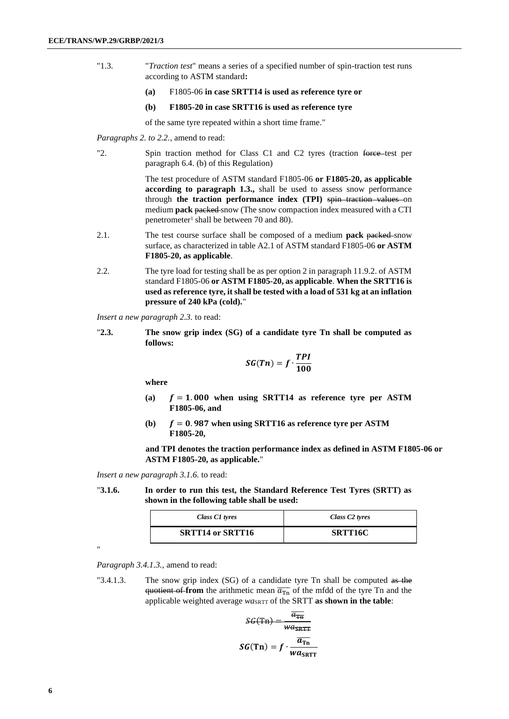- "1.3. "*Traction test*" means a series of a specified number of spin-traction test runs according to ASTM standard**:**
	- **(a)** F1805-06 **in case SRTT14 is used as reference tyre or**
	- **(b) F1805-20 in case SRTT16 is used as reference tyre**

of the same tyre repeated within a short time frame."

*Paragraphs 2. to 2.2.*, amend to read:

"2. Spin traction method for Class C1 and C2 tyres (traction force test per paragraph 6.4. (b) of this Regulation)

> The test procedure of ASTM standard F1805-06 **or F1805-20, as applicable according to paragraph 1.3.,** shall be used to assess snow performance through the traction performance index (TPI) spin traction values on medium **pack** packed snow (The snow compaction index measured with a CTI penetrometer<sup>1</sup> shall be between 70 and 80).

- 2.1. The test course surface shall be composed of a medium **pack** packed snow surface, as characterized in table A2.1 of ASTM standard F1805-06 **or ASTM F1805-20, as applicable**.
- 2.2. The tyre load for testing shall be as per option 2 in paragraph 11.9.2. of ASTM standard F1805-06 **or ASTM F1805-20, as applicable**. **When the SRTT16 is used as reference tyre, it shall be tested with a load of 531 kg at an inflation pressure of 240 kPa (cold).**"

*Insert a new paragraph 2.3.* to read:

"**2.3. The snow grip index (SG) of a candidate tyre Tn shall be computed as follows:**

$$
SG(Tn)=f\cdot\frac{TPI}{100}
$$

**where** 

- (a)  $f = 1.000$  when using SRTT14 as reference tyre per ASTM **F1805-06, and**
- **(b)**  $f = 0.987$  when using SRTT16 as reference tyre per ASTM **F1805-20,**

**and TPI denotes the traction performance index as defined in ASTM F1805-06 or ASTM F1805-20, as applicable.**"

*Insert a new paragraph 3.1.6.* to read:

"**3.1.6. In order to run this test, the Standard Reference Test Tyres (SRTT) as shown in the following table shall be used:**

| Class C1 tyres          | Class C <sub>2</sub> tyres |
|-------------------------|----------------------------|
| <b>SRTT14 or SRTT16</b> | <b>SRTT16C</b>             |

*Paragraph 3.4.1.3.,* amend to read:

"

"3.4.1.3. The snow grip index (SG) of a candidate tyre Tn shall be computed as the quotient of from the arithmetic mean  $\overline{a_{\text{tn}}}$  of the mfdd of the tyre Tn and the applicable weighted average  $w a_{\text{SRTT}}$  of the SRTT as shown in the table:

$$
SG(Tn) = \frac{\overline{a_{TR}}}{w a_{SRTT}}
$$

$$
SG(Tn) = f \cdot \frac{\overline{a_{TR}}}{w a_{SRTT}}
$$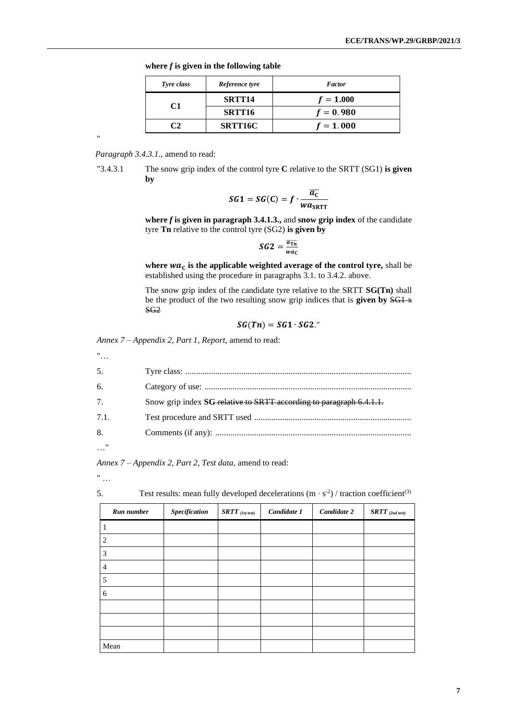|  |  |  |  |  | where $f$ is given in the following table |  |
|--|--|--|--|--|-------------------------------------------|--|
|--|--|--|--|--|-------------------------------------------|--|

| Tyre class | Reference tyre     | <b>Factor</b> |
|------------|--------------------|---------------|
| C1         | SRTT <sub>14</sub> | $f = 1.000$   |
|            | SRTT16             | $f = 0.980$   |
|            | <b>SRTT16C</b>     | $f = 1.000$   |

*Paragraph 3.4.3.1.,* amend to read:

"

"3.4.3.1 The snow grip index of the control tyre **C** relative to the SRTT (SG1) **is given by**

$$
SG1 = SG(C) = f \cdot \frac{\overline{a_C}}{wa_{SRTT}}
$$

where  $f$  is given in paragraph 3.4.1.3., and snow grip index of the candidate tyre **Tn** relative to the control tyre (SG2) **is given by**

$$
SG2 = \frac{\overline{a_{Tn}}}{wa_C}
$$

where  $wa<sub>C</sub>$  is the applicable weighted average of the control tyre, shall be established using the procedure in paragraphs 3.1. to 3.4.2. above.

The snow grip index of the candidate tyre relative to the SRTT **SG(Tn)** shall be the product of the two resulting snow grip indices that is **given by** SG1 x SG2

$$
SG(Tn)=SG1\cdot SG2.
$$
"

*Annex 7 – Appendix 2, Part 1, Report,* amend to read:

"… 5. Tyre class: ......................................................................................................... 6. Category of use: ................................................................................................ 7. Snow grip index **SG** relative to SRTT according to paragraph 6.4.1.1. 7.1. Test procedure and SRTT used ......................................................................... 8. Comments (if any): ........................................................................................... …"

*Annex 7 – Appendix 2, Part 2, Test data,* amend to read:

" …

5. Test results: mean fully developed decelerations  $(m \cdot s^2)$  / traction coefficient<sup>(3)</sup>

| Run number | Specification | $\boldsymbol{SRTT}$ (1st test) | Candidate 1 | Candidate 2 | $\emph{SRTT}$ (2nd test) |
|------------|---------------|--------------------------------|-------------|-------------|--------------------------|
|            |               |                                |             |             |                          |
| 2          |               |                                |             |             |                          |
| 3          |               |                                |             |             |                          |
| 4          |               |                                |             |             |                          |
| 5          |               |                                |             |             |                          |
| 6          |               |                                |             |             |                          |
|            |               |                                |             |             |                          |
|            |               |                                |             |             |                          |
|            |               |                                |             |             |                          |
| Mean       |               |                                |             |             |                          |